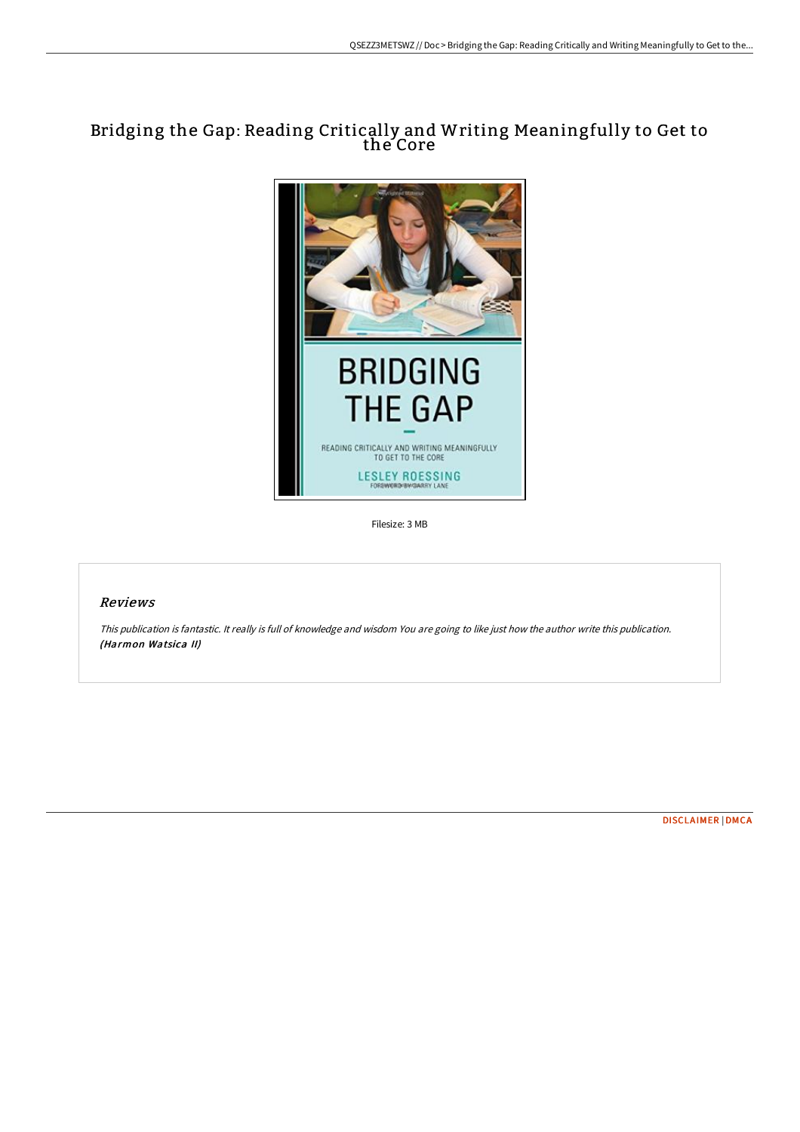## Bridging the Gap: Reading Critically and Writing Meaningfully to Get to the Core



Filesize: 3 MB

## Reviews

This publication is fantastic. It really is full of knowledge and wisdom You are going to like just how the author write this publication. (Harmon Watsica II)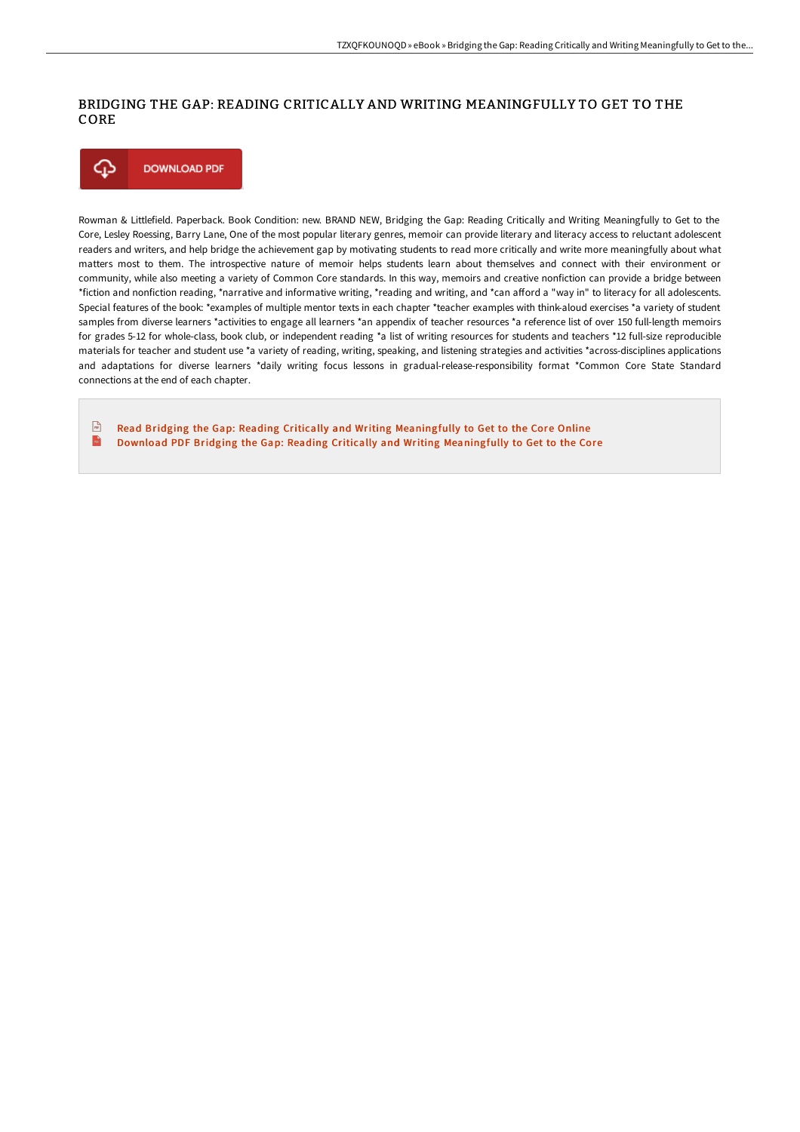## BRIDGING THE GAP: READING CRITICALLY AND WRITING MEANINGFULLY TO GET TO THE CORE



Rowman & Littlefield. Paperback. Book Condition: new. BRAND NEW, Bridging the Gap: Reading Critically and Writing Meaningfully to Get to the Core, Lesley Roessing, Barry Lane, One of the most popular literary genres, memoir can provide literary and literacy access to reluctant adolescent readers and writers, and help bridge the achievement gap by motivating students to read more critically and write more meaningfully about what matters most to them. The introspective nature of memoir helps students learn about themselves and connect with their environment or community, while also meeting a variety of Common Core standards. In this way, memoirs and creative nonfiction can provide a bridge between \*fiction and nonfiction reading, \*narrative and informative writing, \*reading and writing, and \*can afford a "way in" to literacy for all adolescents. Special features of the book: \*examples of multiple mentor texts in each chapter \*teacher examples with think-aloud exercises \*a variety of student samples from diverse learners \*activities to engage all learners \*an appendix of teacher resources \*a reference list of over 150 full-length memoirs for grades 5-12 for whole-class, book club, or independent reading \*a list of writing resources for students and teachers \*12 full-size reproducible materials for teacher and student use \*a variety of reading, writing, speaking, and listening strategies and activities \*across-disciplines applications and adaptations for diverse learners \*daily writing focus lessons in gradual-release-responsibility format \*Common Core State Standard connections at the end of each chapter.

 $\sqrt{m}$ Read Bridging the Gap: Reading Critically and Writing [Meaningfully](http://techno-pub.tech/bridging-the-gap-reading-critically-and-writing-.html) to Get to the Core Online  $\mathbb{R}$ Download PDF Bridging the Gap: Reading Critically and Writing [Meaningfully](http://techno-pub.tech/bridging-the-gap-reading-critically-and-writing-.html) to Get to the Core